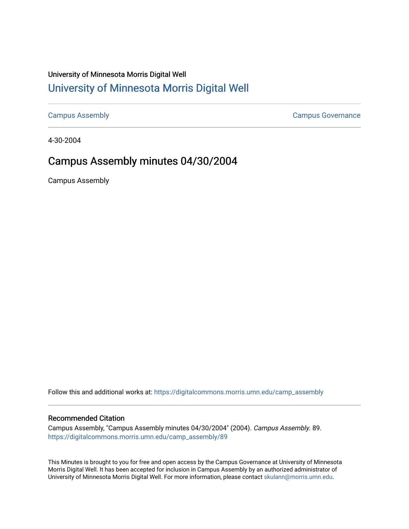## University of Minnesota Morris Digital Well [University of Minnesota Morris Digital Well](https://digitalcommons.morris.umn.edu/)

[Campus Assembly](https://digitalcommons.morris.umn.edu/camp_assembly) [Campus Governance](https://digitalcommons.morris.umn.edu/campgov) 

4-30-2004

## Campus Assembly minutes 04/30/2004

Campus Assembly

Follow this and additional works at: [https://digitalcommons.morris.umn.edu/camp\\_assembly](https://digitalcommons.morris.umn.edu/camp_assembly?utm_source=digitalcommons.morris.umn.edu%2Fcamp_assembly%2F89&utm_medium=PDF&utm_campaign=PDFCoverPages) 

## Recommended Citation

Campus Assembly, "Campus Assembly minutes 04/30/2004" (2004). Campus Assembly. 89. [https://digitalcommons.morris.umn.edu/camp\\_assembly/89](https://digitalcommons.morris.umn.edu/camp_assembly/89?utm_source=digitalcommons.morris.umn.edu%2Fcamp_assembly%2F89&utm_medium=PDF&utm_campaign=PDFCoverPages) 

This Minutes is brought to you for free and open access by the Campus Governance at University of Minnesota Morris Digital Well. It has been accepted for inclusion in Campus Assembly by an authorized administrator of University of Minnesota Morris Digital Well. For more information, please contact [skulann@morris.umn.edu](mailto:skulann@morris.umn.edu).